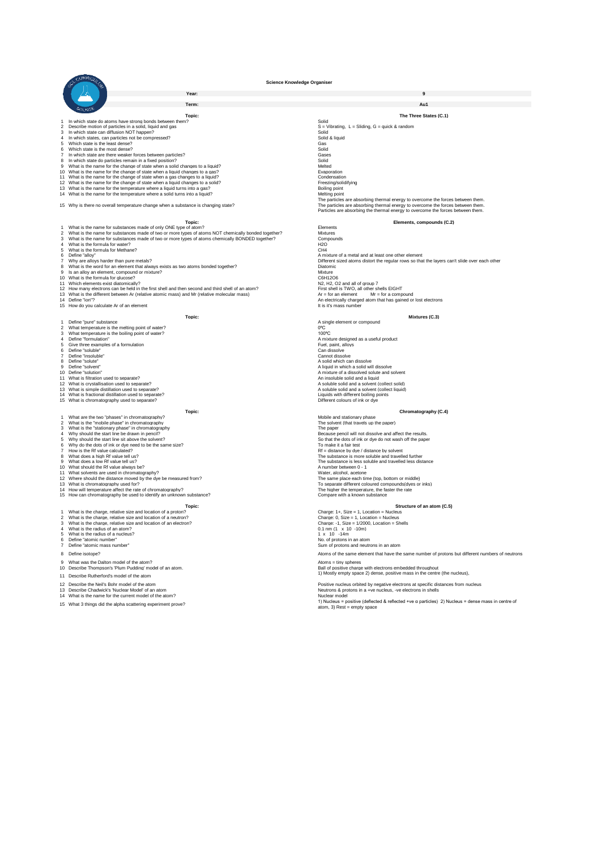**Year: 9 Term: Au1 Topic: The Three States (C.1)** 1 In which state do adms have strong bonds between them?<br>
2 Describe motion of particles in a solid, liquid and qas<br>
3 In which state can diffusion NOT happen?<br>
4 In which states, can particles rot be compressed?<br>
5 Which 8 In which state do particles remain in a fixed position?<br>
9 What is the name for the change of state when a solid changes to a liquid?<br>
9 What is the name for the change of state when a liquid changes to a gas?<br>
11 What i 14 What is the name for the temperature where a solid turns into a liquid? 15 Why is there no overall temperature change when a substance is changing state? The particles are absorbing thermal energy to overcome the forces between them<br>The particles are absorbing thermal energy to overcome the forces between them<br>Particles are absorbing the thermal energy to overcome the force 1 What is the name for substances made of only ONE type of the com?<br>2 What is the name for substances made of only ONE type of atom?<br>3 What is the name for substances made of two or more types of atoms NOT chemically bonde Form of a metal and at least one other element<br>
The discussion of mixture of a metal and at least one other element<br>
The discussion of mixture?<br>
Signalloy an element that always exists as two atoms bonded together?<br>
The di For a substantial that the method of an element that always exists as two atoms bonded together?<br>
16 What is the word for an element, compound or mixture?<br>
16 How Maximus and Movement It is it is it is in allow a method of **Topic: Mixtures (C.3)** 1 Define "pure" substance<br>2 What temperature is the melting point of water?<br>3 What temperature is the boiling point of water?<br>4 Define "formulation" (and the boiling point of water?<br>4 Define "formulation" A mixture designe 5 Give three examples of a formulation<br>6 Define "soluble"<br>7 Define "insoluble" Cannot dissolve 8 Define "solute" A solid which can dissolve and solid which can dissolve and solid which can dissolve and solid which can dissolve and solid which can dissolve and the political control of the solid which a solid which a 9 Define "solvent"<br>9 Define "solvent"<br>10 Define "solution" A mixture of a dissolved solute and solid will dissolved solute and solid will dissolved 10 Define "solution"<br>11 What is filtration used to separate?<br>12 What is crystallisation used to separate?<br>12 What is crystallisation used to separate?<br>12 What is crystallisation used to separate? 11 What is filtration used to separate?<br>
What is crystallisation used to separate? An insolube solid and a solvent (collect solid)<br>A soluble solid and a solvent (collect solid)<br>A soluble solid and a solvent (collect liquid)<br>Liquids with different boiling points<br>Different colours of ink or dye 13 What is simple distillation used to separate? the state of the state of the state of the soluble solid and a solvent (collect liquid)<br>14 What is fractional distillation used to separate? the state of the state of the st **Topic: Chromatography (C.4)**<br> **Chromatography (C.4)**<br> **Chromatography (C.4)** 4 What are the two "phases" in chromatography<br>
2 What is the "mobile phase" in chromatography<br>
3 What is the "mobile phase" in chromatography<br>
4 Why should the start line be drawn in pencil?<br>
4 Why should the start line be **Topic:**<br> **Structure of an atom (C.5)**<br>  $n$ ?<br>  $n$ <br>  $n$ <br> **Structure of an atom (C.5)**<br>
Charge:  $-1$ , Size = 1/2000, Location = Shells<br>
Charge:  $-1$ , Size = 1/2000, Location = Shells 1 What is the charge, relative size and location of a proton?<br>
2 What is the charge, relative size and location of a neutron?<br>
3 What is the charge, relative size and location of a neutron?<br>
4 What is the radius of an atom 7 Define "atomic mass number" Sum of protons and neutrons in an atom 8 Define isotope? **Atoms of the same element that have the same number of protons but different numbers of neutrons** 

- 9 What was the Dalton model of the atom?<br>10 Describe Thompson's 'Plum Pudding' model of an atom. At our spheres and atoms = time at atoms = timy spheres
- 

- 
- Describe Chadwick's 'Nuclear Model' of an atom<br>What is the name for the current model of the atom?

<sup>11</sup> Describe Rutherford's model of the atom 1) Mostly empty space 2) dense, positive mass in the centre (the nucleus),

12 Describe the Neil's Bohr model of the atom<br>13 Describe Chadwick's Nuclear Model of an atom Poster at any 1990 of the atom Positive nucleus orbited by negative electrons at specific distances from nucleus<br>14 What is the Neutrons & protons in a +ve nucleus, -ve electrons in shells<br>Nuclear model

1) Nucleus = dense mass in centre of employer and the control of the section of the section of the positive (deflected & reflected +ve α particles) 2) Nucleus = dense mass in centre of empty space and the alpha space and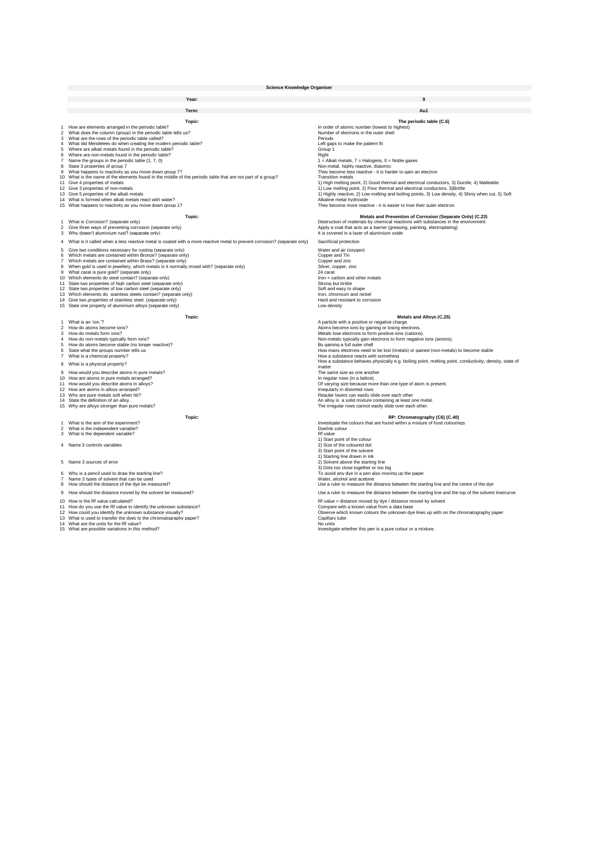|                                                                        | <b>Science Knowledge Organiser</b>                                                                                                                                                                                                                                                                                                                                                                                                                                                                                                                                                                                                                                                                                                                                                                                                                                  |  |                                                                                                                                                                                                                                                                                                                                                                                                                                                                                                                                                                                                                                                                                                                                                                              |
|------------------------------------------------------------------------|---------------------------------------------------------------------------------------------------------------------------------------------------------------------------------------------------------------------------------------------------------------------------------------------------------------------------------------------------------------------------------------------------------------------------------------------------------------------------------------------------------------------------------------------------------------------------------------------------------------------------------------------------------------------------------------------------------------------------------------------------------------------------------------------------------------------------------------------------------------------|--|------------------------------------------------------------------------------------------------------------------------------------------------------------------------------------------------------------------------------------------------------------------------------------------------------------------------------------------------------------------------------------------------------------------------------------------------------------------------------------------------------------------------------------------------------------------------------------------------------------------------------------------------------------------------------------------------------------------------------------------------------------------------------|
|                                                                        | Year:                                                                                                                                                                                                                                                                                                                                                                                                                                                                                                                                                                                                                                                                                                                                                                                                                                                               |  |                                                                                                                                                                                                                                                                                                                                                                                                                                                                                                                                                                                                                                                                                                                                                                              |
|                                                                        |                                                                                                                                                                                                                                                                                                                                                                                                                                                                                                                                                                                                                                                                                                                                                                                                                                                                     |  |                                                                                                                                                                                                                                                                                                                                                                                                                                                                                                                                                                                                                                                                                                                                                                              |
|                                                                        | Term:                                                                                                                                                                                                                                                                                                                                                                                                                                                                                                                                                                                                                                                                                                                                                                                                                                                               |  | Au1                                                                                                                                                                                                                                                                                                                                                                                                                                                                                                                                                                                                                                                                                                                                                                          |
| 3<br>$\overline{4}$<br>5<br>6<br>$\overline{7}$<br>8<br>9              | Topic:<br>How are elements arranged in the periodic table?<br>2 What does the column (group) in the periodic table tells us?<br>What are the rows of the periodic table called?<br>What did Mendeleev do when creating the modern periodic table?<br>Where are alkali metals found in the periodic table?<br>Where are non-metals found in the periodic table?<br>Name the groups in the periodic table (1, 7, 0)<br>State 3 properties of group 7<br>What happens to reactivity as you move down group 7?<br>10 What is the name of the elements found in the middle of the periodic table that are not part of a group?<br>11 Give 4 properties of metals<br>12 Give 3 properties of non-metals<br>13 Give 5 properties of the alkali metals<br>14 What is formed when alkali metals react with water?<br>15 What happens to reactivity as you move down group 1? |  | The periodic table (C.6)<br>In order of atomic number (lowest to highest)<br>Number of electrons in the outer shell<br>Periods<br>Left gaps to make the pattern fit<br>Group 1<br>Right<br>$1 =$ Alkali metals, $7 =$ Halogens, $0 =$ Noble gases<br>Non-metal, highly reactive, diatomic<br>They become less reactive - it is harder to gain an electron<br><b>Transition metals</b><br>1) High melting point, 2) Good thermal and electrical conductors, 3) Ductile, 4) Malleable<br>1) Low melting point, 2) Poor thermal and electrical conductors, 3)Brittle<br>1) Highly reactive, 2) Low melting and boiling points, 3) Low density, 4) Shiny when cut, 5) Soft<br>Alkaline metal hydroxide<br>They become more reactive - it is easier to lose their outer electron. |
| $\mathbf{1}$<br>$\overline{c}$                                         | Topic:<br>What is Corrosion? (separate only)<br>Give three ways of preventing corrosion (separate only)                                                                                                                                                                                                                                                                                                                                                                                                                                                                                                                                                                                                                                                                                                                                                             |  | Metals and Prevention of Corrosion (Separate Only) (C.23)<br>Destruction of materials by chemical reactions with substances in the environment<br>Apply a coat that acts as a barrier (greasing, painting, electroplating)                                                                                                                                                                                                                                                                                                                                                                                                                                                                                                                                                   |
| 3                                                                      | Why doesn't aluminium rust? (separate only)                                                                                                                                                                                                                                                                                                                                                                                                                                                                                                                                                                                                                                                                                                                                                                                                                         |  | It is covered in a layer of aluminium oxide                                                                                                                                                                                                                                                                                                                                                                                                                                                                                                                                                                                                                                                                                                                                  |
| 5<br>6<br>$\overline{7}$<br>8<br>$\mathbf{9}$<br>12 <sup>1</sup><br>13 | 4 What is it called when a less reactive metal is coated with a more reactive metal to prevent corrosion? (separate only)<br>Give two conditions necessary for rusting (separate only)<br>Which metals are contained within Bronze? (separate only)<br>Which metals are contained within Brass? (separate only)<br>When gold is used in jewellery, which metals is it normally mixed with? (separate only)<br>What carat is pure gold? (separate only)<br>10 Which elements do steel contain? (separate only)<br>11 State two properties of high carbon steel (separate only)<br>State two properties of low carbon steel (separate only)<br>Which elements do stainless steels contain? (separate only)<br>14 Give two properties of stainless steel. (separate only)<br>15 State one property of aluminium alloys (separate only)                                 |  | Sacrificial protection<br>Water and air (oxygen)<br>Copper and Tin<br>Copper and zinc<br>Silver, copper, zinc<br>24 carat<br>Iron + carbon and other metals<br>Strong but brittle<br>Soft and easy to shape<br>Iron, chromium and nickel<br>Hard and resistant to corrosion<br>Low density                                                                                                                                                                                                                                                                                                                                                                                                                                                                                   |
|                                                                        | Topic:                                                                                                                                                                                                                                                                                                                                                                                                                                                                                                                                                                                                                                                                                                                                                                                                                                                              |  | Metals and Alloys (C.25)                                                                                                                                                                                                                                                                                                                                                                                                                                                                                                                                                                                                                                                                                                                                                     |
| $\mathbf{1}$<br>$\overline{c}$<br>3<br>5<br>6<br>$\overline{7}$        | What is an 'ion.'?<br>How do atoms become ions?<br>How do metals form ions?<br>4 How do non-metals typically form ions?<br>How do atoms become stable (no longer reactive)?<br>State what the groups number tells us<br>What is a chemical property?                                                                                                                                                                                                                                                                                                                                                                                                                                                                                                                                                                                                                |  | A particle with a positive or negative charge.<br>Atoms become ions by gaining or losing electrons.<br>Metals lose electrons to form positive ions (cations).<br>Non-metals typically gain electrons to form negative ions (anions).<br>By gaining a full outer shell<br>How many electrons need to be lost (metals) or gained (non-metals) to become stable<br>How a substance reacts with something                                                                                                                                                                                                                                                                                                                                                                        |
|                                                                        | 8 What is a physical property?                                                                                                                                                                                                                                                                                                                                                                                                                                                                                                                                                                                                                                                                                                                                                                                                                                      |  | How a substance behaves physically e.g. boiling point, melting point, conductivity, density, state of<br>matter                                                                                                                                                                                                                                                                                                                                                                                                                                                                                                                                                                                                                                                              |
| 9                                                                      | How would you describe atoms in pure metals?<br>10 How are atoms in pure metals arranged?<br>11 How would you describe atoms in alloys?<br>12 How are atoms in alloys arranged?<br>13 Why are pure metals soft when hit?<br>14 State the definition of an alloy.<br>15 Why are alloys stronger than pure metals?                                                                                                                                                                                                                                                                                                                                                                                                                                                                                                                                                    |  | The same size as one another<br>In regular rows (in a lattice).<br>Of varying size because more than one type of atom is present.<br>Irregularly in distorted rows<br>Regular layers can easily slide over each other<br>An alloy is a solid mixture containing at least one metal.<br>The irregular rows cannot easily slide over each other.                                                                                                                                                                                                                                                                                                                                                                                                                               |
|                                                                        | Topic:                                                                                                                                                                                                                                                                                                                                                                                                                                                                                                                                                                                                                                                                                                                                                                                                                                                              |  | RP: Chromatography (C6) (C.40)                                                                                                                                                                                                                                                                                                                                                                                                                                                                                                                                                                                                                                                                                                                                               |
| 3                                                                      | 1 What is the aim of the experiment?<br>2 What is the independent variable?<br>What is the dependent variable?<br>Name 3 controls variables                                                                                                                                                                                                                                                                                                                                                                                                                                                                                                                                                                                                                                                                                                                         |  | Investigate the colours that are found within a mixture of food colourings<br>Dye/ink colour<br>Rf value<br>1) Start point of the colour<br>2) Size of the coloured dot<br>3) Start point of the solvent                                                                                                                                                                                                                                                                                                                                                                                                                                                                                                                                                                     |
|                                                                        | 5 Name 3 sources of error                                                                                                                                                                                                                                                                                                                                                                                                                                                                                                                                                                                                                                                                                                                                                                                                                                           |  | 1) Starting line drawn in ink<br>2) Solvent above the starting line<br>3) Dots too close together or too big                                                                                                                                                                                                                                                                                                                                                                                                                                                                                                                                                                                                                                                                 |
| 6<br>$\overline{7}$<br>8                                               | Why is a pencil used to draw the starting line?<br>Name 3 types of solvent that can be used<br>How should the distance of the dye be measured?                                                                                                                                                                                                                                                                                                                                                                                                                                                                                                                                                                                                                                                                                                                      |  | To avoid any dye in a pen also moving up the paper<br>Water, alcohol and acetone<br>Use a ruler to measure the distance between the starting line and the centre of the dye                                                                                                                                                                                                                                                                                                                                                                                                                                                                                                                                                                                                  |
| 9                                                                      | How should the distance moved by the solvent be measured?                                                                                                                                                                                                                                                                                                                                                                                                                                                                                                                                                                                                                                                                                                                                                                                                           |  | Use a ruler to measure the distance between the starting line and the top of the solvent line/curve                                                                                                                                                                                                                                                                                                                                                                                                                                                                                                                                                                                                                                                                          |
|                                                                        | 10 How is the Rf value calculated?<br>11 How do you use the Rf value to identify the unknown substance?<br>12 How could you identify the unknown substance visually?<br>13 What is used to transfer the dyes to the chromatography paper?<br>14 What are the units for the Rf value?<br>15 What are possible variations in this method?                                                                                                                                                                                                                                                                                                                                                                                                                                                                                                                             |  | Rf value = distance moved by dye / distance moved by solvent<br>Compare with a known value from a data base<br>Observe which known colours the unknown dye lines up with on the chromatography paper<br>Capillary tube<br>No units<br>Investigate whether this pen is a pure colour or a mixture.                                                                                                                                                                                                                                                                                                                                                                                                                                                                            |
|                                                                        |                                                                                                                                                                                                                                                                                                                                                                                                                                                                                                                                                                                                                                                                                                                                                                                                                                                                     |  |                                                                                                                                                                                                                                                                                                                                                                                                                                                                                                                                                                                                                                                                                                                                                                              |